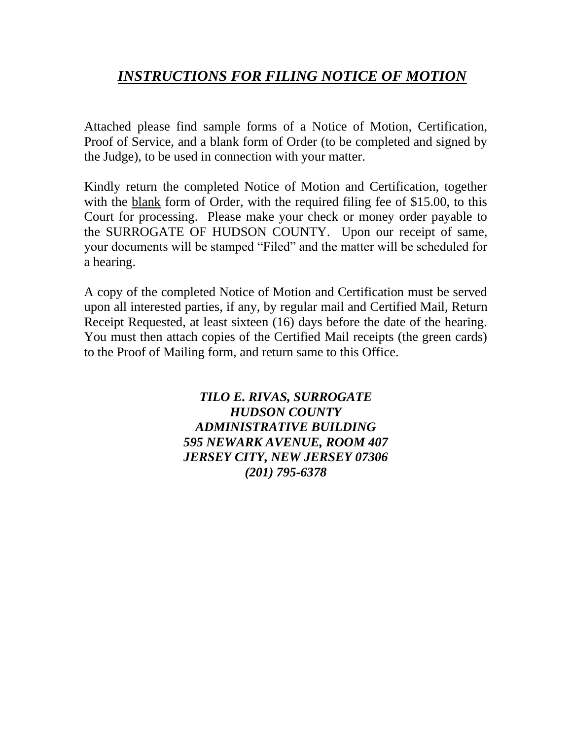## *INSTRUCTIONS FOR FILING NOTICE OF MOTION*

Attached please find sample forms of a Notice of Motion, Certification, Proof of Service, and a blank form of Order (to be completed and signed by the Judge), to be used in connection with your matter.

Kindly return the completed Notice of Motion and Certification, together with the blank form of Order, with the required filing fee of \$15.00, to this Court for processing. Please make your check or money order payable to the SURROGATE OF HUDSON COUNTY. Upon our receipt of same, your documents will be stamped "Filed" and the matter will be scheduled for a hearing.

A copy of the completed Notice of Motion and Certification must be served upon all interested parties, if any, by regular mail and Certified Mail, Return Receipt Requested, at least sixteen (16) days before the date of the hearing. You must then attach copies of the Certified Mail receipts (the green cards) to the Proof of Mailing form, and return same to this Office.

> *TILO E. RIVAS, SURROGATE HUDSON COUNTY ADMINISTRATIVE BUILDING 595 NEWARK AVENUE, ROOM 407 JERSEY CITY, NEW JERSEY 07306 (201) 795-6378*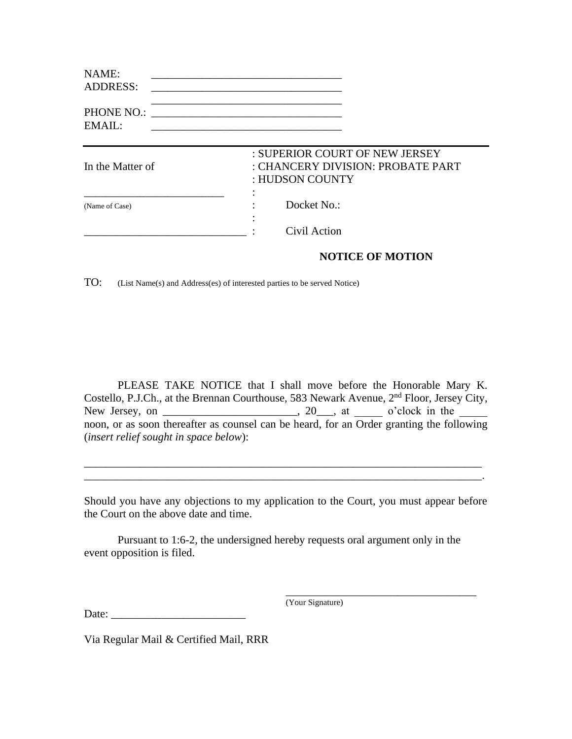| NAME:<br><b>ADDRESS:</b> |                                                                                        |
|--------------------------|----------------------------------------------------------------------------------------|
| PHONE NO.:<br>EMAIL:     | <u> 1980 - Jan Barbara, martxa al II-lea (h. 1980).</u>                                |
| In the Matter of         | : SUPERIOR COURT OF NEW JERSEY<br>: CHANCERY DIVISION: PROBATE PART<br>: HUDSON COUNTY |
| (Name of Case)           | Docket No.:                                                                            |
|                          | Civil Action                                                                           |

## **NOTICE OF MOTION**

TO: (List Name(s) and Address(es) of interested parties to be served Notice)

PLEASE TAKE NOTICE that I shall move before the Honorable Mary K. Costello, P.J.Ch., at the Brennan Courthouse, 583 Newark Avenue, 2<sup>nd</sup> Floor, Jersey City, New Jersey, on \_\_\_\_\_\_\_\_\_\_\_\_\_\_\_\_\_\_\_\_\_\_, 20\_\_\_, at \_\_\_\_\_ o'clock in the \_\_\_\_\_\_ noon, or as soon thereafter as counsel can be heard, for an  $\overline{\text{Order}}$  granting the following (*insert relief sought in space below*):

Should you have any objections to my application to the Court, you must appear before the Court on the above date and time.

\_\_\_\_\_\_\_\_\_\_\_\_\_\_\_\_\_\_\_\_\_\_\_\_\_\_\_\_\_\_\_\_\_\_\_\_\_\_\_\_\_\_\_\_\_\_\_\_\_\_\_\_\_\_\_\_\_\_\_\_\_\_\_\_\_\_\_\_\_\_\_ \_\_\_\_\_\_\_\_\_\_\_\_\_\_\_\_\_\_\_\_\_\_\_\_\_\_\_\_\_\_\_\_\_\_\_\_\_\_\_\_\_\_\_\_\_\_\_\_\_\_\_\_\_\_\_\_\_\_\_\_\_\_\_\_\_\_\_\_\_\_\_.

Pursuant to 1:6-2, the undersigned hereby requests oral argument only in the event opposition is filed.

(Your Signature)

\_\_\_\_\_\_\_\_\_\_\_\_\_\_\_\_\_\_\_\_\_\_\_\_\_\_\_\_\_\_\_\_\_\_

Date: \_\_\_\_\_\_\_\_\_\_\_\_\_\_\_\_\_\_\_\_\_\_\_\_

Via Regular Mail & Certified Mail, RRR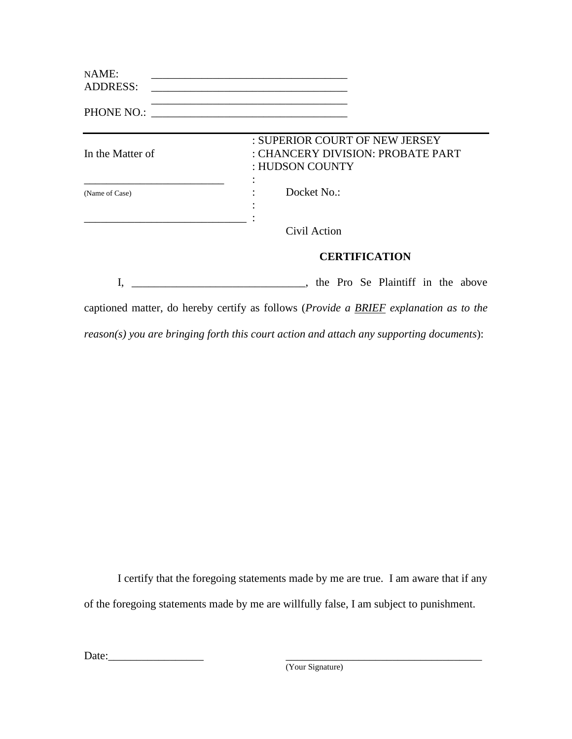| NAME:<br><b>ADDRESS:</b> |                                                                                        |
|--------------------------|----------------------------------------------------------------------------------------|
| PHONE NO.:               |                                                                                        |
| In the Matter of         | : SUPERIOR COURT OF NEW JERSEY<br>: CHANCERY DIVISION: PROBATE PART<br>: HUDSON COUNTY |
| (Name of Case)           | Docket No.:                                                                            |
|                          | Civil Action                                                                           |
|                          | <b>CERTIFICATION</b>                                                                   |
|                          | , the Pro Se Plaintiff in the above                                                    |

captioned matter, do hereby certify as follows (*Provide a BRIEF explanation as to the reason(s) you are bringing forth this court action and attach any supporting documents*):

I certify that the foregoing statements made by me are true. I am aware that if any of the foregoing statements made by me are willfully false, I am subject to punishment.

Date:\_\_\_\_\_\_\_\_\_\_\_\_\_\_\_\_\_ \_\_\_\_\_\_\_\_\_\_\_\_\_\_\_\_\_\_\_\_\_\_\_\_\_\_\_\_\_\_\_\_\_\_\_

(Your Signature)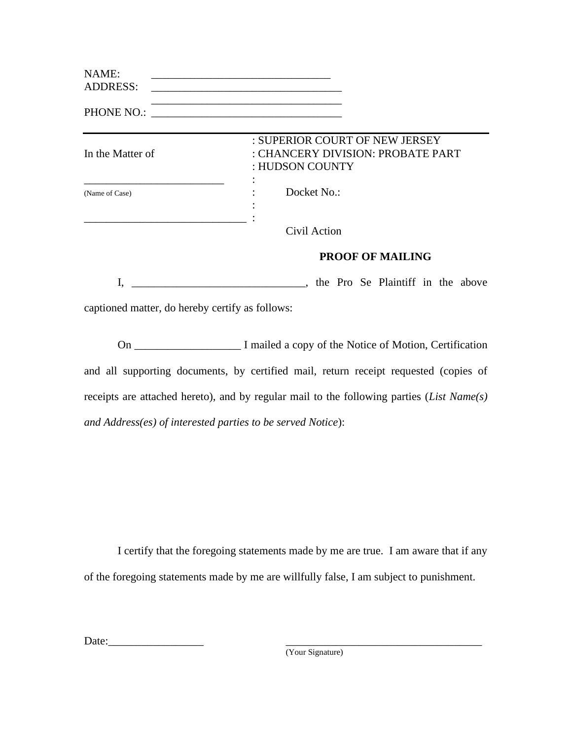| NAME:           |  |
|-----------------|--|
| <b>ADDRESS:</b> |  |

\_\_\_\_\_\_\_\_\_\_\_\_\_\_\_\_\_\_\_\_\_\_\_\_\_\_\_\_\_\_\_\_\_\_ PHONE NO.: \_\_\_\_\_\_\_\_\_\_\_\_\_\_\_\_\_\_\_\_\_\_\_\_\_\_\_\_\_\_\_\_\_\_

| In the Matter of | : SUPERIOR COURT OF NEW JERSEY<br>: CHANCERY DIVISION: PROBATE PART<br>: HUDSON COUNTY |
|------------------|----------------------------------------------------------------------------------------|
| (Name of Case)   | Docket No.:                                                                            |
|                  | Civil Action                                                                           |
|                  | <b>PROOF OF MAILING</b>                                                                |
|                  | the Pro Se Plaintiff in the above                                                      |

captioned matter, do hereby certify as follows:

On \_\_\_\_\_\_\_\_\_\_\_\_\_\_\_\_\_\_\_ I mailed a copy of the Notice of Motion, Certification and all supporting documents, by certified mail, return receipt requested (copies of receipts are attached hereto), and by regular mail to the following parties (*List Name(s) and Address(es) of interested parties to be served Notice*):

I certify that the foregoing statements made by me are true. I am aware that if any of the foregoing statements made by me are willfully false, I am subject to punishment.

Date:

(Your Signature)